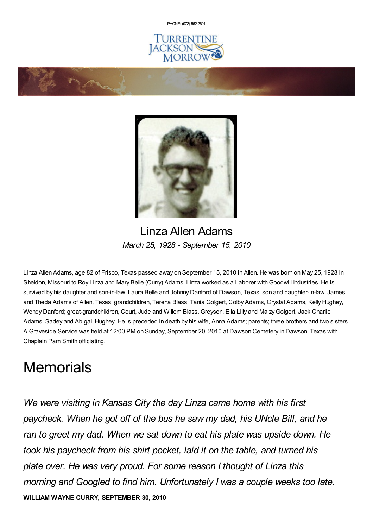PHONE: (972) [562-2601](tel:(972) 562-2601)





## Linza Allen Adams *March 25, 1928 - September 15, 2010*

Linza Allen Adams, age 82 of Frisco, Texas passed away on September 15, 2010 in Allen. He was born on May 25, 1928 in Sheldon, Missouri to Roy Linza and Mary Belle (Curry) Adams. Linza worked as a Laborer with Goodwill Industries. He is survived by his daughter and son-in-law, Laura Belle and Johnny Danford of Dawson, Texas; son and daughter-in-law, James and Theda Adams of Allen, Texas; grandchildren, Terena Blass, Tania Golgert, Colby Adams, Crystal Adams, Kelly Hughey, Wendy Danford; great-grandchildren, Court, Jude and Willem Blass, Greysen, Ella Lilly and MaizyGolgert, Jack Charlie Adams, Sadey and Abigail Hughey. He is preceded in death by his wife, Anna Adams; parents; three brothers and two sisters. A Graveside Service was held at 12:00 PM on Sunday, September 20, 2010 at Dawson Cemetery in Dawson, Texas with Chaplain Pam Smith officiating.

## **Memorials**

*We were visiting in Kansas City the day Linza came home with his first paycheck. When he got off of the bus he saw my dad, his UNcle Bill, and he ran to greet my dad. When we sat down to eat his plate was upside down. He took his paycheck from his shirt pocket, laid it on the table, and turned his plate over. He was very proud. For some reason I thought of Linza this morning and Googled to find him. Unfortunately I was a couple weeks too late.* **WILLIAM WAYNE CURRY, SEPTEMBER 30, 2010**